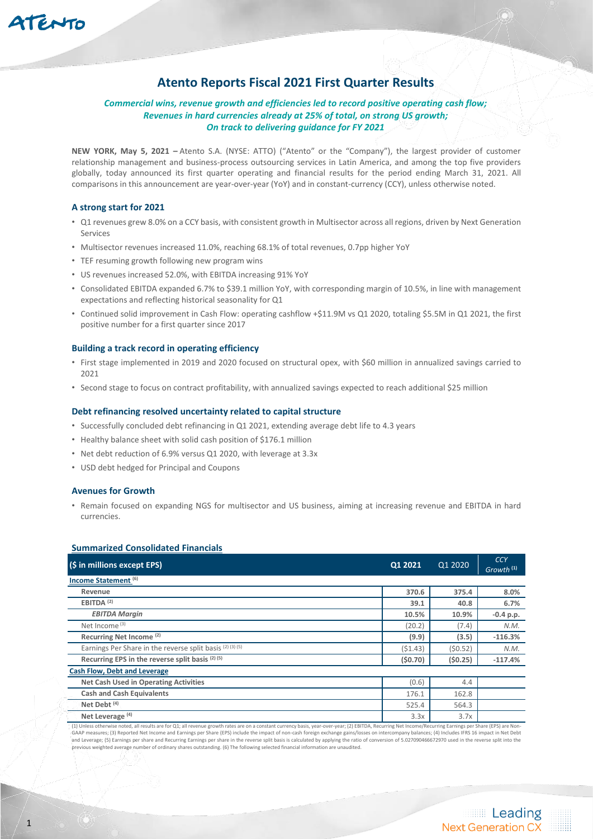## **Atento Reports Fiscal 2021 First Quarter Results**

## *Commercial wins, revenue growth and efficiencies led to record positive operating cash flow; Revenues in hard currencies already at 25% of total, on strong US growth; On track to delivering guidance for FY 2021*

**NEW YORK, May 5, 2021 –** Atento S.A. (NYSE: ATTO) ("Atento" or the "Company"), the largest provider of customer relationship management and business-process outsourcing services in Latin America, and among the top five providers globally, today announced its first quarter operating and financial results for the period ending March 31, 2021. All comparisons in this announcement are year-over-year (YoY) and in constant-currency (CCY), unless otherwise noted.

## **A strong start for 2021**

- Q1 revenues grew 8.0% on a CCY basis, with consistent growth in Multisector across all regions, driven by Next Generation Services
- Multisector revenues increased 11.0%, reaching 68.1% of total revenues, 0.7pp higher YoY
- TEF resuming growth following new program wins
- US revenues increased 52.0%, with EBITDA increasing 91% YoY
- Consolidated EBITDA expanded 6.7% to \$39.1 million YoY, with corresponding margin of 10.5%, in line with management expectations and reflecting historical seasonality for Q1
- Continued solid improvement in Cash Flow: operating cashflow +\$11.9M vs Q1 2020, totaling \$5.5M in Q1 2021, the first positive number for a first quarter since 2017

#### **Building a track record in operating efficiency**

- First stage implemented in 2019 and 2020 focused on structural opex, with \$60 million in annualized savings carried to 2021
- Second stage to focus on contract profitability, with annualized savings expected to reach additional \$25 million

#### **Debt refinancing resolved uncertainty related to capital structure**

- Successfully concluded debt refinancing in Q1 2021, extending average debt life to 4.3 years
- Healthy balance sheet with solid cash position of \$176.1 million
- Net debt reduction of 6.9% versus Q1 2020, with leverage at 3.3x
- USD debt hedged for Principal and Coupons

#### **Avenues for Growth**

• Remain focused on expanding NGS for multisector and US business, aiming at increasing revenue and EBITDA in hard currencies.

#### **Summarized Consolidated Financials**

| (\$ in millions except EPS)                               | Q1 2021 | Q1 2020 | <b>CCY</b><br>$Growth$ <sup>(1)</sup> |
|-----------------------------------------------------------|---------|---------|---------------------------------------|
| Income Statement <sup>(6)</sup>                           |         |         |                                       |
| Revenue                                                   | 370.6   | 375.4   | 8.0%                                  |
| EBITDA <sup>(2)</sup>                                     | 39.1    | 40.8    | 6.7%                                  |
| <b>EBITDA Margin</b>                                      | 10.5%   | 10.9%   | $-0.4 p.p.$                           |
| Net Income <sup>(3)</sup>                                 | (20.2)  | (7.4)   | N.M.                                  |
| Recurring Net Income <sup>(2)</sup>                       | (9.9)   | (3.5)   | $-116.3%$                             |
| Earnings Per Share in the reverse split basis (2) (3) (5) | (51.43) | (50.52) | N.M.                                  |
| Recurring EPS in the reverse split basis (2) (5)          | (50.70) | (50.25) | $-117.4%$                             |
| <b>Cash Flow, Debt and Leverage</b>                       |         |         |                                       |
| <b>Net Cash Used in Operating Activities</b>              | (0.6)   | 4.4     |                                       |
| <b>Cash and Cash Equivalents</b>                          | 176.1   | 162.8   |                                       |
| Net Debt <sup>(4)</sup>                                   | 525.4   | 564.3   |                                       |
| Net Leverage <sup>(4)</sup>                               | 3.3x    | 3.7x    |                                       |

(1) Unless otherwise noted, all results are for Q1; all revenue growth rates are on a constant currency basis, year-over-year; (2) EBITDA, Recurring Net Income/Recurring Earnings per Share (EPS) are Non-GAAP measures; (3) Reported Net Income and Earnings per Share (EPS) include the impact of non-cash foreign exchange gains/losses on intercompany balances; (4) Includes IFRS 16 impact in Net Debt and Leverage; (5) Earnings per share and Recurring Earnings per share in the reverse split basis is calculated by applying the ratio of conversion of 5.027090466672970 used in the reverse split into the previous weighted average number of ordinary shares outstanding. (6) The following selected financial information are unaudited.

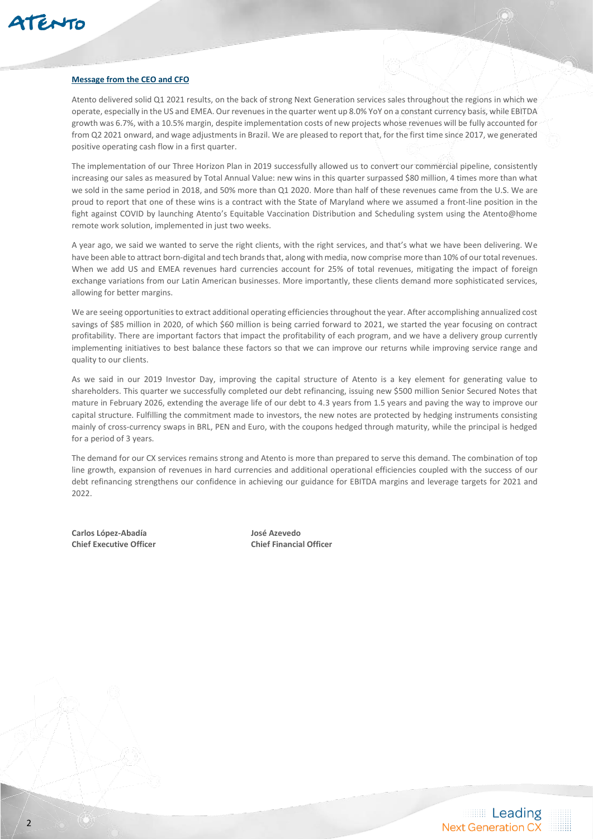

#### **Message from the CEO and CFO**

Atento delivered solid Q1 2021 results, on the back of strong Next Generation services sales throughout the regions in which we operate, especially in the US and EMEA. Our revenues in the quarter went up 8.0% YoY on a constant currency basis, while EBITDA growth was 6.7%, with a 10.5% margin, despite implementation costs of new projects whose revenues will be fully accounted for from Q2 2021 onward, and wage adjustments in Brazil. We are pleased to report that, for the first time since 2017, we generated positive operating cash flow in a first quarter.

The implementation of our Three Horizon Plan in 2019 successfully allowed us to convert our commercial pipeline, consistently increasing our sales as measured by Total Annual Value: new wins in this quarter surpassed \$80 million, 4 times more than what we sold in the same period in 2018, and 50% more than Q1 2020. More than half of these revenues came from the U.S. We are proud to report that one of these wins is a contract with the State of Maryland where we assumed a front-line position in the fight against COVID by launching Atento's Equitable Vaccination Distribution and Scheduling system using the Atento@home remote work solution, implemented in just two weeks.

A year ago, we said we wanted to serve the right clients, with the right services, and that's what we have been delivering. We have been able to attract born-digital and tech brands that, along with media, now comprise more than 10% of our total revenues. When we add US and EMEA revenues hard currencies account for 25% of total revenues, mitigating the impact of foreign exchange variations from our Latin American businesses. More importantly, these clients demand more sophisticated services, allowing for better margins.

We are seeing opportunities to extract additional operating efficiencies throughout the year. After accomplishing annualized cost savings of \$85 million in 2020, of which \$60 million is being carried forward to 2021, we started the year focusing on contract profitability. There are important factors that impact the profitability of each program, and we have a delivery group currently implementing initiatives to best balance these factors so that we can improve our returns while improving service range and quality to our clients.

As we said in our 2019 Investor Day, improving the capital structure of Atento is a key element for generating value to shareholders. This quarter we successfully completed our debt refinancing, issuing new \$500 million Senior Secured Notes that mature in February 2026, extending the average life of our debt to 4.3 years from 1.5 years and paving the way to improve our capital structure. Fulfilling the commitment made to investors, the new notes are protected by hedging instruments consisting mainly of cross-currency swaps in BRL, PEN and Euro, with the coupons hedged through maturity, while the principal is hedged for a period of 3 years.

The demand for our CX services remains strong and Atento is more than prepared to serve this demand. The combination of top line growth, expansion of revenues in hard currencies and additional operational efficiencies coupled with the success of our debt refinancing strengthens our confidence in achieving our guidance for EBITDA margins and leverage targets for 2021 and 2022.

**Carlos López-Abadía**<br> **Chief Executive Officer**<br> **Chief Executive Officer**<br> **Chief Einancial Officer Chief Executive Officer Chief Financial Officer**



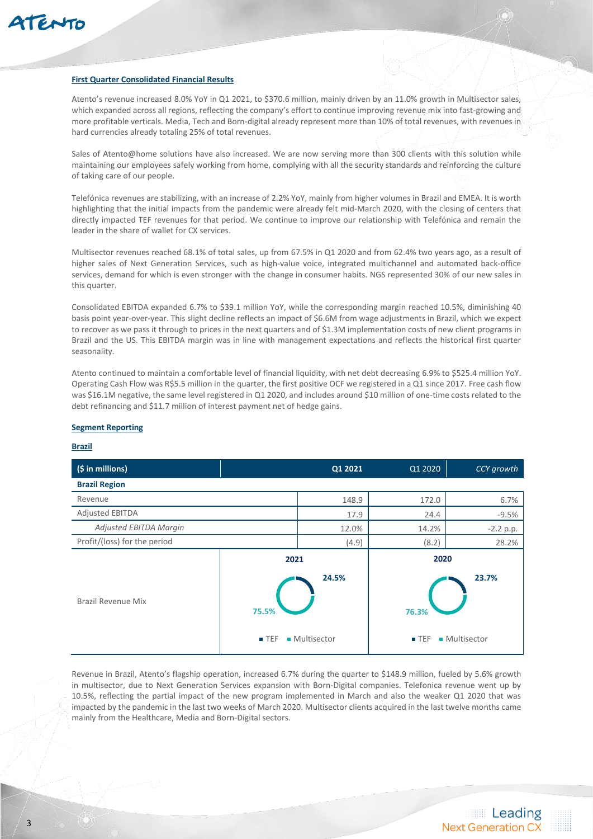

#### **First Quarter Consolidated Financial Results**

Atento's revenue increased 8.0% YoY in Q1 2021, to \$370.6 million, mainly driven by an 11.0% growth in Multisector sales, which expanded across all regions, reflecting the company's effort to continue improving revenue mix into fast-growing and more profitable verticals. Media, Tech and Born-digital already represent more than 10% of total revenues, with revenues in hard currencies already totaling 25% of total revenues.

Sales of Atento@home solutions have also increased. We are now serving more than 300 clients with this solution while maintaining our employees safely working from home, complying with all the security standards and reinforcing the culture of taking care of our people.

Telefónica revenues are stabilizing, with an increase of 2.2% YoY, mainly from higher volumes in Brazil and EMEA. It is worth highlighting that the initial impacts from the pandemic were already felt mid-March 2020, with the closing of centers that directly impacted TEF revenues for that period. We continue to improve our relationship with Telefónica and remain the leader in the share of wallet for CX services.

Multisector revenues reached 68.1% of total sales, up from 67.5% in Q1 2020 and from 62.4% two years ago, as a result of higher sales of Next Generation Services, such as high-value voice, integrated multichannel and automated back-office services, demand for which is even stronger with the change in consumer habits. NGS represented 30% of our new sales in this quarter.

Consolidated EBITDA expanded 6.7% to \$39.1 million YoY, while the corresponding margin reached 10.5%, diminishing 40 basis point year-over-year. This slight decline reflects an impact of \$6.6M from wage adjustments in Brazil, which we expect to recover as we pass it through to prices in the next quarters and of \$1.3M implementation costs of new client programs in Brazil and the US. This EBITDA margin was in line with management expectations and reflects the historical first quarter seasonality.

Atento continued to maintain a comfortable level of financial liquidity, with net debt decreasing 6.9% to \$525.4 million YoY. Operating Cash Flow was R\$5.5 million in the quarter, the first positive OCF we registered in a Q1 since 2017. Free cash flow was \$16.1M negative, the same level registered in Q1 2020, and includes around \$10 million of one-time costs related to the debt refinancing and \$11.7 million of interest payment net of hedge gains.

#### **Segment Reporting**

#### **Brazil**

| (\$ in millions)             |                                                               | Q1 2020<br>Q1 2021          | CCY growth                     |
|------------------------------|---------------------------------------------------------------|-----------------------------|--------------------------------|
| <b>Brazil Region</b>         |                                                               |                             |                                |
| Revenue                      |                                                               | 148.9<br>172.0              | 6.7%                           |
| <b>Adjusted EBITDA</b>       |                                                               | 17.9<br>24.4                | $-9.5%$                        |
| Adjusted EBITDA Margin       |                                                               | 12.0%<br>14.2%              | $-2.2 p.p.$                    |
| Profit/(loss) for the period |                                                               | (4.9)<br>(8.2)              | 28.2%                          |
| <b>Brazil Revenue Mix</b>    | 2021<br>24.5%<br>75.5%<br>• Multisector<br>$\blacksquare$ TEF | 76.3%<br>$\blacksquare$ TEF | 2020<br>23.7%<br>• Multisector |

Revenue in Brazil, Atento's flagship operation, increased 6.7% during the quarter to \$148.9 million, fueled by 5.6% growth in multisector, due to Next Generation Services expansion with Born-Digital companies. Telefonica revenue went up by 10.5%, reflecting the partial impact of the new program implemented in March and also the weaker Q1 2020 that was impacted by the pandemic in the last two weeks of March 2020. Multisector clients acquired in the last twelve months came mainly from the Healthcare, Media and Born-Digital sectors.

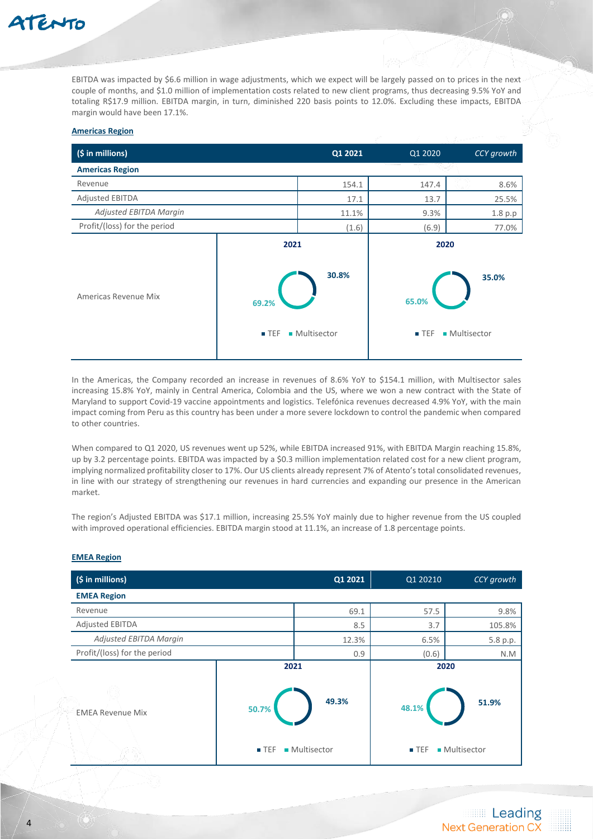EBITDA was impacted by \$6.6 million in wage adjustments, which we expect will be largely passed on to prices in the next couple of months, and \$1.0 million of implementation costs related to new client programs, thus decreasing 9.5% YoY and totaling R\$17.9 million. EBITDA margin, in turn, diminished 220 basis points to 12.0%. Excluding these impacts, EBITDA margin would have been 17.1%.

| (\$ in millions)             | Q1 2021                                                       | Q1 2020                             | CCY growth             |
|------------------------------|---------------------------------------------------------------|-------------------------------------|------------------------|
| <b>Americas Region</b>       |                                                               |                                     |                        |
| Revenue                      | 154.1                                                         | 147.4                               | 8.6%                   |
| <b>Adjusted EBITDA</b>       | 17.1                                                          | 13.7                                | 25.5%                  |
| Adjusted EBITDA Margin       | 11.1%                                                         | 9.3%                                | 1.8 p.p                |
| Profit/(loss) for the period | (1.6)                                                         | (6.9)                               | 77.0%                  |
| Americas Revenue Mix         | 2021<br>30.8%<br>69.2%<br>• Multisector<br>$\blacksquare$ TEF | 2020<br>65.0%<br>$\blacksquare$ TEF | 35.0%<br>• Multisector |

#### **Americas Region**

In the Americas, the Company recorded an increase in revenues of 8.6% YoY to \$154.1 million, with Multisector sales increasing 15.8% YoY, mainly in Central America, Colombia and the US, where we won a new contract with the State of Maryland to support Covid-19 vaccine appointments and logistics. Telefónica revenues decreased 4.9% YoY, with the main impact coming from Peru as this country has been under a more severe lockdown to control the pandemic when compared to other countries.

When compared to Q1 2020, US revenues went up 52%, while EBITDA increased 91%, with EBITDA Margin reaching 15.8%, up by 3.2 percentage points. EBITDA was impacted by a \$0.3 million implementation related cost for a new client program, implying normalized profitability closer to 17%. Our US clients already represent 7% of Atento's total consolidated revenues, in line with our strategy of strengthening our revenues in hard currencies and expanding our presence in the American market.

The region's Adjusted EBITDA was \$17.1 million, increasing 25.5% YoY mainly due to higher revenue from the US coupled with improved operational efficiencies. EBITDA margin stood at 11.1%, an increase of 1.8 percentage points.

| (\$ in millions)             |                                     | Q1 2021                | Q1 20210                    | CCY growth                     |
|------------------------------|-------------------------------------|------------------------|-----------------------------|--------------------------------|
| <b>EMEA Region</b>           |                                     |                        |                             |                                |
| Revenue                      |                                     | 69.1                   | 57.5                        | 9.8%                           |
| <b>Adjusted EBITDA</b>       |                                     | 8.5                    | 3.7                         | 105.8%                         |
| Adjusted EBITDA Margin       |                                     | 12.3%                  | 6.5%                        | 5.8 p.p.                       |
| Profit/(loss) for the period |                                     | 0.9                    | (0.6)                       | N.M                            |
| <b>EMEA Revenue Mix</b>      | 2021<br>50.7%<br>$\blacksquare$ TEF | 49.3%<br>■ Multisector | 48.1%<br>$\blacksquare$ TEF | 2020<br>51.9%<br>• Multisector |

#### **EMEA Region**

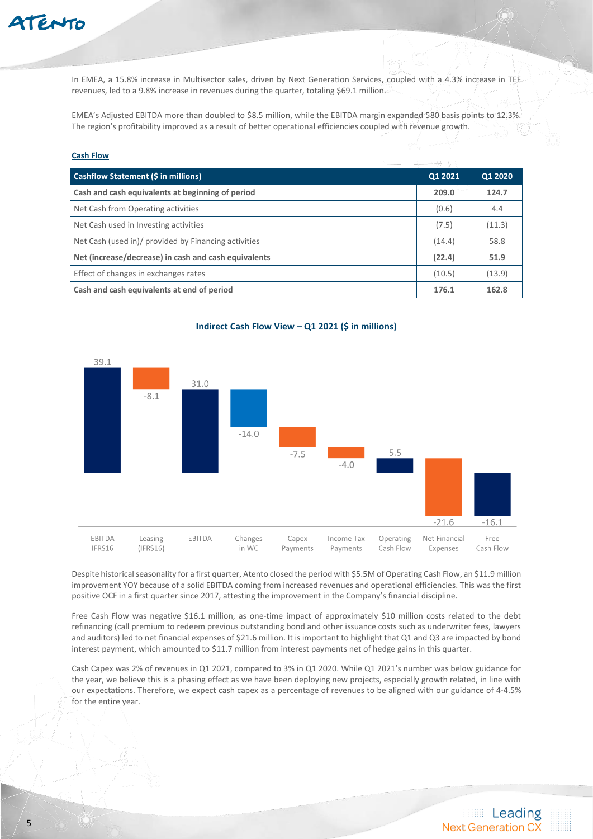

In EMEA, a 15.8% increase in Multisector sales, driven by Next Generation Services, coupled with a 4.3% increase in TEF revenues, led to a 9.8% increase in revenues during the quarter, totaling \$69.1 million.

EMEA's Adjusted EBITDA more than doubled to \$8.5 million, while the EBITDA margin expanded 580 basis points to 12.3%. The region's profitability improved as a result of better operational efficiencies coupled with revenue growth.

### **Cash Flow**

| <b>Cashflow Statement (\$ in millions)</b>           | Q1 2021 | Q1 2020 |
|------------------------------------------------------|---------|---------|
| Cash and cash equivalents at beginning of period     | 209.0   | 124.7   |
| Net Cash from Operating activities                   | (0.6)   | 4.4     |
| Net Cash used in Investing activities                | (7.5)   | (11.3)  |
| Net Cash (used in)/ provided by Financing activities | (14.4)  | 58.8    |
| Net (increase/decrease) in cash and cash equivalents | (22.4)  | 51.9    |
| Effect of changes in exchanges rates                 | (10.5)  | (13.9)  |
| Cash and cash equivalents at end of period           | 176.1   | 162.8   |



**Indirect Cash Flow View – Q1 2021 (\$ in millions)**

Despite historical seasonality for a first quarter, Atento closed the period with \$5.5M of Operating Cash Flow, an \$11.9 million improvement YOY because of a solid EBITDA coming from increased revenues and operational efficiencies. This was the first positive OCF in a first quarter since 2017, attesting the improvement in the Company's financial discipline.

Free Cash Flow was negative \$16.1 million, as one-time impact of approximately \$10 million costs related to the debt refinancing (call premium to redeem previous outstanding bond and other issuance costs such as underwriter fees, lawyers and auditors) led to net financial expenses of \$21.6 million. It is important to highlight that Q1 and Q3 are impacted by bond interest payment, which amounted to \$11.7 million from interest payments net of hedge gains in this quarter.

Cash Capex was 2% of revenues in Q1 2021, compared to 3% in Q1 2020. While Q1 2021's number was below guidance for the year, we believe this is a phasing effect as we have been deploying new projects, especially growth related, in line with our expectations. Therefore, we expect cash capex as a percentage of revenues to be aligned with our guidance of 4-4.5% for the entire year.

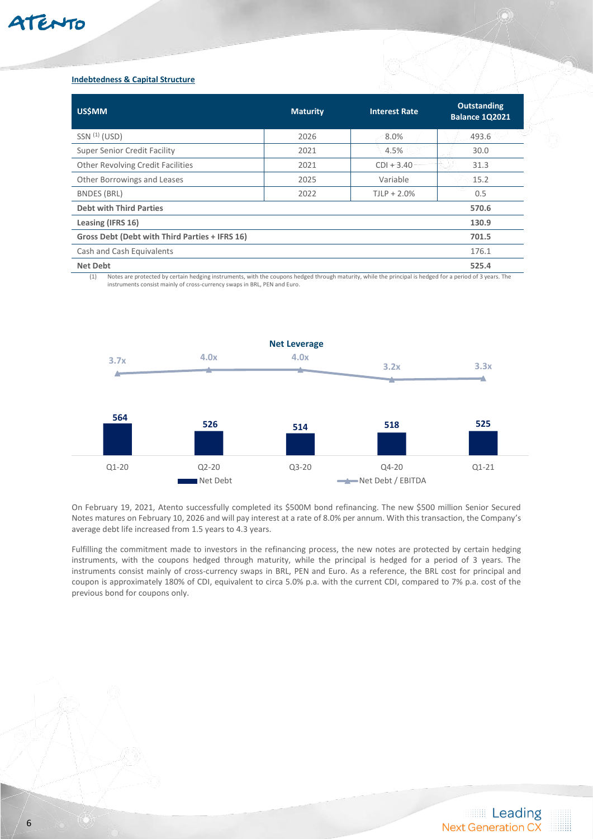### **Indebtedness & Capital Structure**

| <b>USSMM</b>                                   | <b>Maturity</b> | <b>Interest Rate</b> | <b>Outstanding</b><br><b>Balance 1Q2021</b> |
|------------------------------------------------|-----------------|----------------------|---------------------------------------------|
| SSN <sup>(1)</sup> (USD)                       | 2026            | 8.0%                 | 493.6                                       |
| <b>Super Senior Credit Facility</b>            | 2021            | 4.5%                 | 30.0                                        |
| <b>Other Revolving Credit Facilities</b>       | 2021            | $CDI + 3.40$         | 31.3                                        |
| Other Borrowings and Leases                    | 2025            | Variable             | 15.2                                        |
| <b>BNDES (BRL)</b>                             | 2022            | $TLP + 2.0%$         | 0.5                                         |
| <b>Debt with Third Parties</b>                 |                 |                      | 570.6                                       |
| Leasing (IFRS 16)                              |                 |                      | 130.9                                       |
| Gross Debt (Debt with Third Parties + IFRS 16) |                 |                      | 701.5                                       |
| Cash and Cash Equivalents                      |                 |                      | 176.1                                       |
| <b>Net Debt</b>                                |                 |                      | 525.4                                       |

(1) Notes are protected by certain hedging instruments, with the coupons hedged through maturity, while the principal is hedged for a period of 3 years. The instruments consist mainly of cross-currency swaps in BRL, PEN and Euro.



On February 19, 2021, Atento successfully completed its \$500M bond refinancing. The new \$500 million Senior Secured Notes matures on February 10, 2026 and will pay interest at a rate of 8.0% per annum. With this transaction, the Company's average debt life increased from 1.5 years to 4.3 years.

Fulfilling the commitment made to investors in the refinancing process, the new notes are protected by certain hedging instruments, with the coupons hedged through maturity, while the principal is hedged for a period of 3 years. The instruments consist mainly of cross-currency swaps in BRL, PEN and Euro. As a reference, the BRL cost for principal and coupon is approximately 180% of CDI, equivalent to circa 5.0% p.a. with the current CDI, compared to 7% p.a. cost of the previous bond for coupons only.

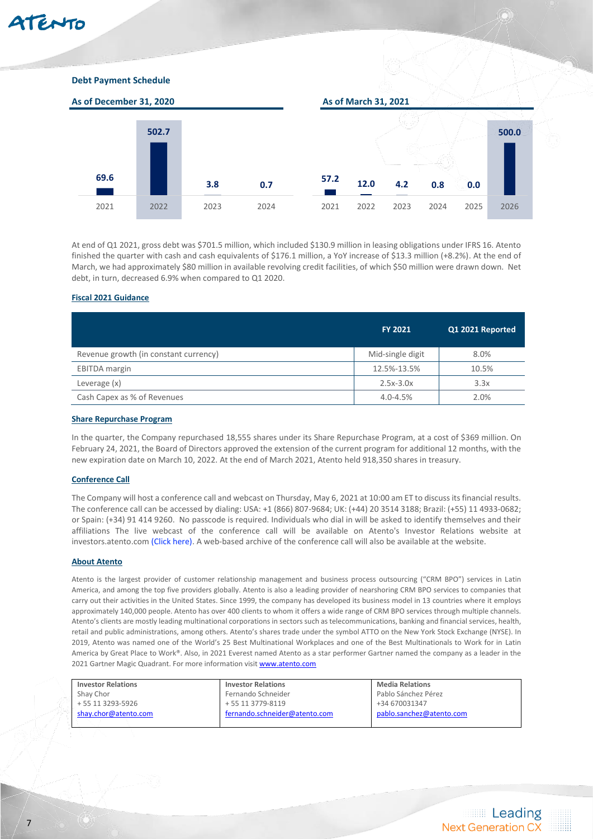## **Debt Payment Schedule**



At end of Q1 2021, gross debt was \$701.5 million, which included \$130.9 million in leasing obligations under IFRS 16. Atento finished the quarter with cash and cash equivalents of \$176.1 million, a YoY increase of \$13.3 million (+8.2%). At the end of March, we had approximately \$80 million in available revolving credit facilities, of which \$50 million were drawn down. Net debt, in turn, decreased 6.9% when compared to Q1 2020.

### **Fiscal 2021 Guidance**

|                                       | <b>FY 2021</b>   | Q1 2021 Reported |
|---------------------------------------|------------------|------------------|
| Revenue growth (in constant currency) | Mid-single digit | 8.0%             |
| <b>EBITDA</b> margin                  | 12.5%-13.5%      | 10.5%            |
| Leverage $(x)$                        | $2.5x - 3.0x$    | 3.3x             |
| Cash Capex as % of Revenues           | $4.0 - 4.5%$     | 2.0%             |

#### **Share Repurchase Program**

In the quarter, the Company repurchased 18,555 shares under its Share Repurchase Program, at a cost of \$369 million. On February 24, 2021, the Board of Directors approved the extension of the current program for additional 12 months, with the new expiration date on March 10, 2022. At the end of March 2021, Atento held 918,350 shares in treasury.

#### **Conference Call**

The Company will host a conference call and webcast on Thursday, May 6, 2021 at 10:00 am ET to discuss its financial results. The conference call can be accessed by dialing: USA: +1 (866) 807-9684; UK: (+44) 20 3514 3188; Brazil: (+55) 11 4933-0682; or Spain: (+34) 91 414 9260. No passcode is required. Individuals who dial in will be asked to identify themselves and their affiliations The live webcast of the conference call will be available on Atento's Investor Relations website at [investors.atento.com](http://investors.atento.com/) [\(Click here\)](https://services.choruscall.com/links/atto210429gu9pE3mJ.html). A web-based archive of the conference call will also be available at the website.

#### **About Atento**

Atento is the largest provider of customer relationship management and business process outsourcing ("CRM BPO") services in Latin America, and among the top five providers globally. Atento is also a leading provider of nearshoring CRM BPO services to companies that carry out their activities in the United States. Since 1999, the company has developed its business model in 13 countries where it employs approximately 140,000 people. Atento has over 400 clients to whom it offers a wide range of CRM BPO services through multiple channels. Atento's clients are mostly leading multinational corporations in sectors such as telecommunications, banking and financial services, health, retail and public administrations, among others. Atento's shares trade under the symbol ATTO on the New York Stock Exchange (NYSE). In 2019, Atento was named one of the World's 25 Best Multinational Workplaces and one of the Best Multinationals to Work for in Latin America by Great Place to Work®. Also, in 2021 Everest named Atento as a star performer Gartner named the company as a leader in the 2021 Gartner Magic Quadrant. For more information visi[t www.atento.com](http://www.atento.com/)

| <b>Investor Relations</b> | <b>Investor Relations</b>     | <b>Media Relations</b>   |
|---------------------------|-------------------------------|--------------------------|
| Shay Chor                 | Fernando Schneider            | Pablo Sánchez Pérez      |
| + 55 11 3293-5926         | + 55 11 3779-8119             | +34 670031347            |
| shay.chor@atento.com      | fernando.schneider@atento.com | pablo.sanchez@atento.com |
|                           |                               |                          |

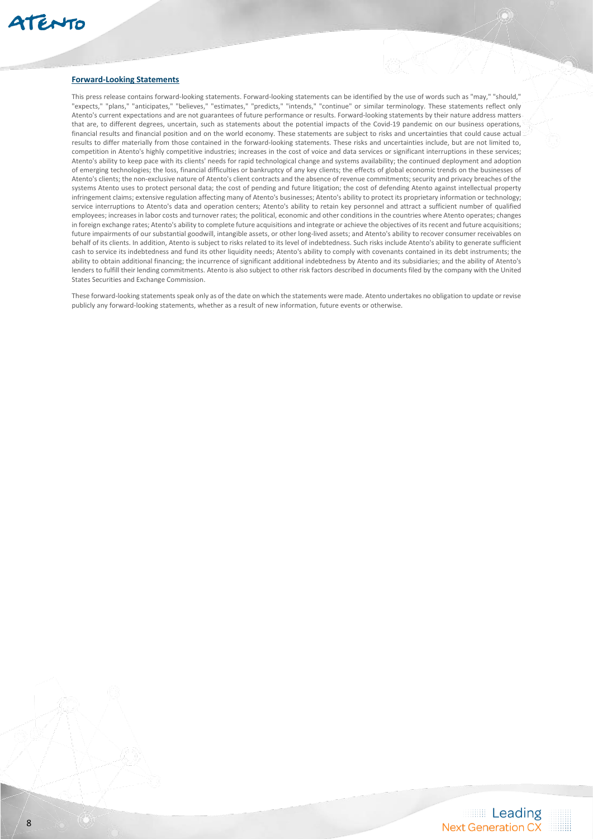

#### **Forward-Looking Statements**

This press release contains forward-looking statements. Forward-looking statements can be identified by the use of words such as "may," "should," "expects," "plans," "anticipates," "believes," "estimates," "predicts," "intends," "continue" or similar terminology. These statements reflect only Atento's current expectations and are not guarantees of future performance or results. Forward-looking statements by their nature address matters that are, to different degrees, uncertain, such as statements about the potential impacts of the Covid-19 pandemic on our business operations, financial results and financial position and on the world economy. These statements are subject to risks and uncertainties that could cause actual results to differ materially from those contained in the forward-looking statements. These risks and uncertainties include, but are not limited to, competition in Atento's highly competitive industries; increases in the cost of voice and data services or significant interruptions in these services; Atento's ability to keep pace with its clients' needs for rapid technological change and systems availability; the continued deployment and adoption of emerging technologies; the loss, financial difficulties or bankruptcy of any key clients; the effects of global economic trends on the businesses of Atento's clients; the non-exclusive nature of Atento's client contracts and the absence of revenue commitments; security and privacy breaches of the systems Atento uses to protect personal data; the cost of pending and future litigation; the cost of defending Atento against intellectual property infringement claims; extensive regulation affecting many of Atento's businesses; Atento's ability to protect its proprietary information or technology; service interruptions to Atento's data and operation centers; Atento's ability to retain key personnel and attract a sufficient number of qualified employees; increases in labor costs and turnover rates; the political, economic and other conditions in the countries where Atento operates; changes in foreign exchange rates; Atento's ability to complete future acquisitions and integrate or achieve the objectives of its recent and future acquisitions; future impairments of our substantial goodwill, intangible assets, or other long-lived assets; and Atento's ability to recover consumer receivables on behalf of its clients. In addition, Atento is subject to risks related to its level of indebtedness. Such risks include Atento's ability to generate sufficient cash to service its indebtedness and fund its other liquidity needs; Atento's ability to comply with covenants contained in its debt instruments; the ability to obtain additional financing; the incurrence of significant additional indebtedness by Atento and its subsidiaries; and the ability of Atento's lenders to fulfill their lending commitments. Atento is also subject to other risk factors described in documents filed by the company with the United States Securities and Exchange Commission.

These forward-looking statements speak only as of the date on which the statements were made. Atento undertakes no obligation to update or revise publicly any forward-looking statements, whether as a result of new information, future events or otherwise.

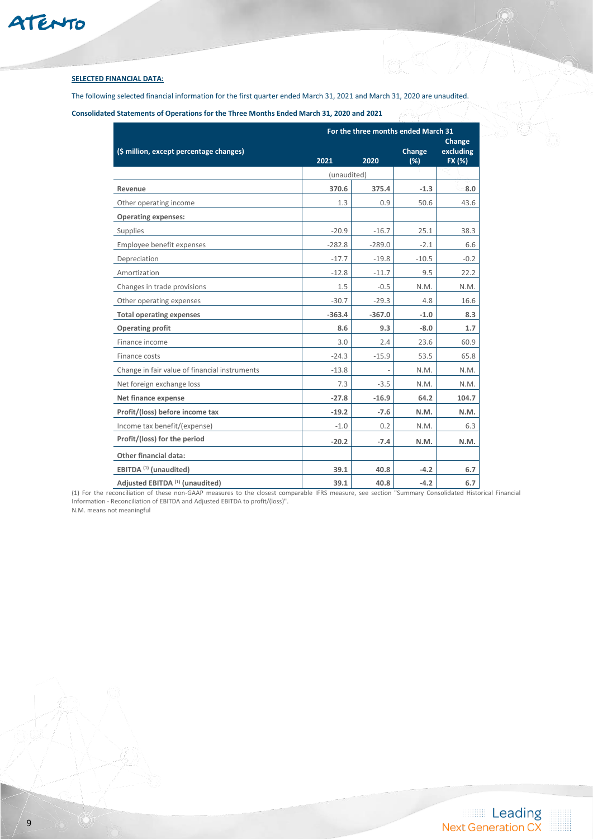### **SELECTED FINANCIAL DATA:**

The following selected financial information for the first quarter ended March 31, 2021 and March 31, 2020 are unaudited.

**Consolidated Statements of Operations for the Three Months Ended March 31, 2020 and 2021**

|                                               | For the three months ended March 31 |          |               |                                      |
|-----------------------------------------------|-------------------------------------|----------|---------------|--------------------------------------|
| (\$ million, except percentage changes)       | 2021                                | 2020     | Change<br>(%) | Change<br>excluding<br><b>FX (%)</b> |
|                                               | (unaudited)                         |          |               |                                      |
| Revenue                                       | 370.6                               | 375.4    | $-1.3$        | 8.0                                  |
| Other operating income                        | 1.3                                 | 0.9      | 50.6          | 43.6                                 |
| <b>Operating expenses:</b>                    |                                     |          |               |                                      |
| Supplies                                      | $-20.9$                             | $-16.7$  | 25.1          | 38.3                                 |
| Employee benefit expenses                     | $-282.8$                            | $-289.0$ | $-2.1$        | 6.6                                  |
| Depreciation                                  | $-17.7$                             | $-19.8$  | $-10.5$       | $-0.2$                               |
| Amortization                                  | $-12.8$                             | $-11.7$  | 9.5           | 22.2                                 |
| Changes in trade provisions                   | 1.5                                 | $-0.5$   | N.M.          | N.M.                                 |
| Other operating expenses                      | $-30.7$                             | $-29.3$  | 4.8           | 16.6                                 |
| <b>Total operating expenses</b>               | $-363.4$                            | $-367.0$ | $-1.0$        | 8.3                                  |
| <b>Operating profit</b>                       | 8.6                                 | 9.3      | $-8.0$        | 1.7                                  |
| Finance income                                | 3.0                                 | 2.4      | 23.6          | 60.9                                 |
| Finance costs                                 | $-24.3$                             | $-15.9$  | 53.5          | 65.8                                 |
| Change in fair value of financial instruments | $-13.8$                             | ÷,       | N.M.          | N.M.                                 |
| Net foreign exchange loss                     | 7.3                                 | $-3.5$   | N.M.          | N.M.                                 |
| Net finance expense                           | $-27.8$                             | $-16.9$  | 64.2          | 104.7                                |
| Profit/(loss) before income tax               | $-19.2$                             | $-7.6$   | N.M.          | N.M.                                 |
| Income tax benefit/(expense)                  | $-1.0$                              | 0.2      | N.M.          | 6.3                                  |
| Profit/(loss) for the period                  | $-20.2$                             | $-7.4$   | N.M.          | N.M.                                 |
| Other financial data:                         |                                     |          |               |                                      |
| EBITDA <sup>(1)</sup> (unaudited)             | 39.1                                | 40.8     | $-4.2$        | 6.7                                  |
| Adjusted EBITDA <sup>(1)</sup> (unaudited)    | 39.1                                | 40.8     | $-4.2$        | 6.7                                  |

(1) For the reconciliation of these non-GAAP measures to the closest comparable IFRS measure, see section "Summary Consolidated Historical Financial Information - Reconciliation of EBITDA and Adjusted EBITDA to profit/(loss)".

N.M. means not meaningful

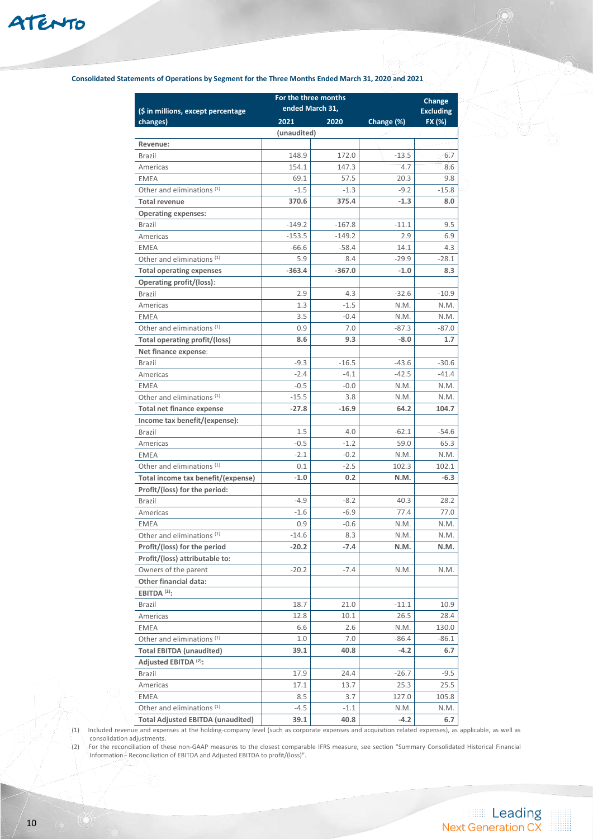### **Consolidated Statements of Operations by Segment for the Three Months Ended March 31, 2020 and 2021**

|                                       | For the three months |          |                | Change           |
|---------------------------------------|----------------------|----------|----------------|------------------|
| (\$ in millions, except percentage    | ended March 31,      |          |                | <b>Excluding</b> |
| changes)                              | 2021                 | 2020     | Change (%)     | FX (%)           |
|                                       | (unaudited)          |          |                |                  |
| Revenue:                              |                      |          |                |                  |
| <b>Brazil</b>                         | 148.9                | 172.0    | $-13.5$        | 6.7              |
| Americas                              | 154.1                | 147.3    | 4.7            | 8.6              |
| <b>EMEA</b>                           | 69.1                 | 57.5     | 20.3<br>$-9.2$ | 9.8              |
| Other and eliminations (1)            | $-1.5$               | $-1.3$   |                | $-15.8$          |
| <b>Total revenue</b>                  | 370.6                | 375.4    | $-1.3$         | 8.0              |
| <b>Operating expenses:</b>            |                      |          |                |                  |
| <b>Brazil</b>                         | $-149.2$             | $-167.8$ | $-11.1$        | 9.5              |
| Americas                              | $-153.5$             | $-149.2$ | 2.9            | 6.9              |
| <b>EMEA</b>                           | $-66.6$              | $-58.4$  | 14.1           | 4.3              |
| Other and eliminations (1)            | 5.9                  | 8.4      | $-29.9$        | $-28.1$          |
| <b>Total operating expenses</b>       | $-363.4$             | $-367.0$ | $-1.0$         | 8.3              |
| Operating profit/(loss):              |                      |          |                |                  |
| Brazil                                | 2.9                  | 4.3      | $-32.6$        | $-10.9$          |
| Americas                              | 1.3                  | $-1.5$   | N.M.           | N.M.             |
| <b>EMEA</b>                           | 3.5                  | $-0.4$   | N.M.           | N.M.             |
| Other and eliminations (1)            | 0.9                  | 7.0      | $-87.3$        | $-87.0$          |
| Total operating profit/(loss)         | 8.6                  | 9.3      | $-8.0$         | 1.7              |
| Net finance expense:                  |                      |          |                |                  |
| Brazil                                | $-9.3$               | $-16.5$  | $-43.6$        | $-30.6$          |
| Americas                              | $-2.4$               | $-4.1$   | $-42.5$        | $-41.4$          |
| <b>EMEA</b>                           | $-0.5$               | $-0.0$   | N.M.           | N.M.             |
| Other and eliminations (1)            | $-15.5$              | 3.8      | N.M.           | N.M.             |
| <b>Total net finance expense</b>      | $-27.8$              | $-16.9$  | 64.2           | 104.7            |
| Income tax benefit/(expense):         |                      |          |                |                  |
| Brazil                                | 1.5                  | 4.0      | $-62.1$        | $-54.6$          |
| Americas                              | $-0.5$               | $-1.2$   | 59.0           | 65.3             |
| <b>EMEA</b>                           | $-2.1$               | $-0.2$   | N.M.           | N.M.             |
| Other and eliminations (1)            | 0.1                  | $-2.5$   | 102.3          | 102.1            |
| Total income tax benefit/(expense)    | $-1.0$               | 0.2      | N.M.           | $-6.3$           |
| Profit/(loss) for the period:         |                      |          |                |                  |
| <b>Brazil</b>                         | $-4.9$               | $-8.2$   | 40.3           | 28.2             |
| Americas                              | $-1.6$               | $-6.9$   | 77.4           | 77.0             |
| <b>EMEA</b>                           | 0.9                  | $-0.6$   | N.M.           | N.M.             |
| Other and eliminations (1)            | -14.6                | 8.3      | N.M.           | N.M.             |
| Profit/(loss) for the period          | $-20.2$              | -7.4     | N.M.           | N.M.             |
| Profit/(loss) attributable to:        |                      |          |                |                  |
| Owners of the parent                  | $-20.2$              | $-7.4$   | N.M.           | N.M.             |
| Other financial data:                 |                      |          |                |                  |
| EBITDA <sup>(2)</sup> :               |                      |          |                |                  |
| Brazil                                | 18.7                 | 21.0     | $-11.1$        | 10.9             |
| Americas                              | 12.8                 | 10.1     | 26.5           | 28.4             |
| EMEA                                  | 6.6                  | 2.6      | N.M.           | 130.0            |
| Other and eliminations <sup>(1)</sup> | 1.0                  | 7.0      | $-86.4$        | $-86.1$          |
| <b>Total EBITDA (unaudited)</b>       | 39.1                 | 40.8     | $-4.2$         | 6.7              |
| Adjusted EBITDA <sup>(2)</sup> :      |                      |          |                |                  |
| Brazil                                | 17.9                 | 24.4     | $-26.7$        | $-9.5$           |
| Americas                              | 17.1                 | 13.7     | 25.3           | 25.5             |
| EMEA                                  | 8.5                  | 3.7      | 127.0          | 105.8            |
| Other and eliminations <sup>(1)</sup> | $-4.5$               | $-1.1$   | N.M.           | N.M.             |
| Total Adjusted EBITDA (unaudited)     | 39.1                 | 40.8     | $-4.2$         | 6.7              |

(1) Included revenue and expenses at the holding-company level (such as corporate expenses and acquisition related expenses), as applicable, as well as consolidation adjustments.

(2) For the reconciliation of these non-GAAP measures to the closest comparable IFRS measure, see section "Summary Consolidated Historical Financial Information - Reconciliation of EBITDA and Adjusted EBITDA to profit/(loss)".

 $\circledast$ 

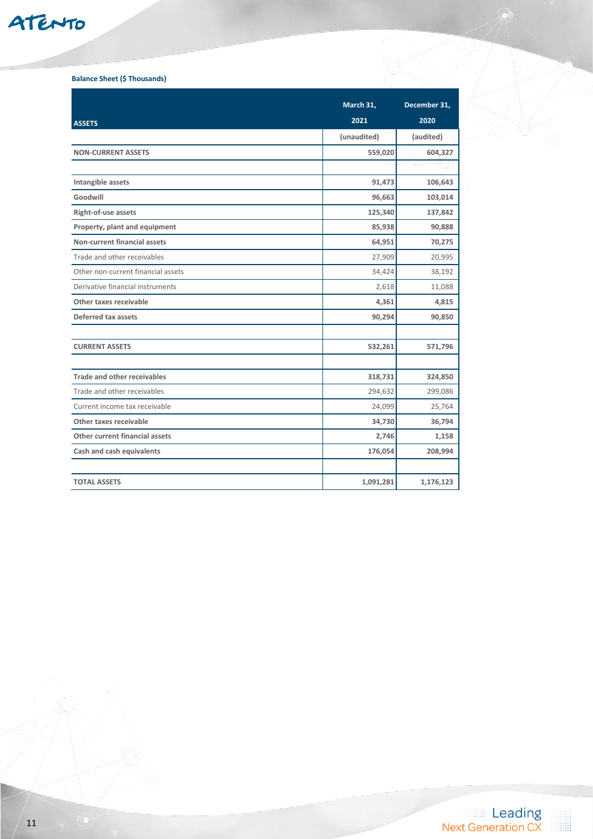## **Balance Sheet (\$ Thousands)**

|                                     | March 31,   | December 31, |
|-------------------------------------|-------------|--------------|
| <b>ASSETS</b>                       | 2021        | 2020         |
|                                     | (unaudited) | (audited)    |
| <b>NON-CURRENT ASSETS</b>           | 559,020     | 604,327      |
|                                     |             |              |
| Intangible assets                   | 91,473      | 106,643      |
| Goodwill                            | 96,663      | 103,014      |
| Right-of-use assets                 | 125,340     | 137,842      |
| Property, plant and equipment       | 85,938      | 90,888       |
| <b>Non-current financial assets</b> | 64,951      | 70,275       |
| Trade and other receivables         | 27,909      | 20,995       |
| Other non-current financial assets  | 34,424      | 38,192       |
| Derivative financial instruments    | 2,618       | 11,088       |
| Other taxes receivable              | 4,361       | 4,815        |
| <b>Deferred tax assets</b>          | 90,294      | 90,850       |
|                                     |             |              |
| <b>CURRENT ASSETS</b>               | 532,261     | 571,796      |
|                                     |             |              |
| <b>Trade and other receivables</b>  | 318,731     | 324,850      |
| Trade and other receivables         | 294,632     | 299,086      |
| Current income tax receivable       | 24,099      | 25,764       |
| <b>Other taxes receivable</b>       | 34,730      | 36,794       |
| Other current financial assets      | 2,746       | 1,158        |
| Cash and cash equivalents           | 176,054     | 208,994      |
|                                     |             |              |
| <b>TOTAL ASSETS</b>                 | 1,091,281   | 1,176,123    |



 $\circledast$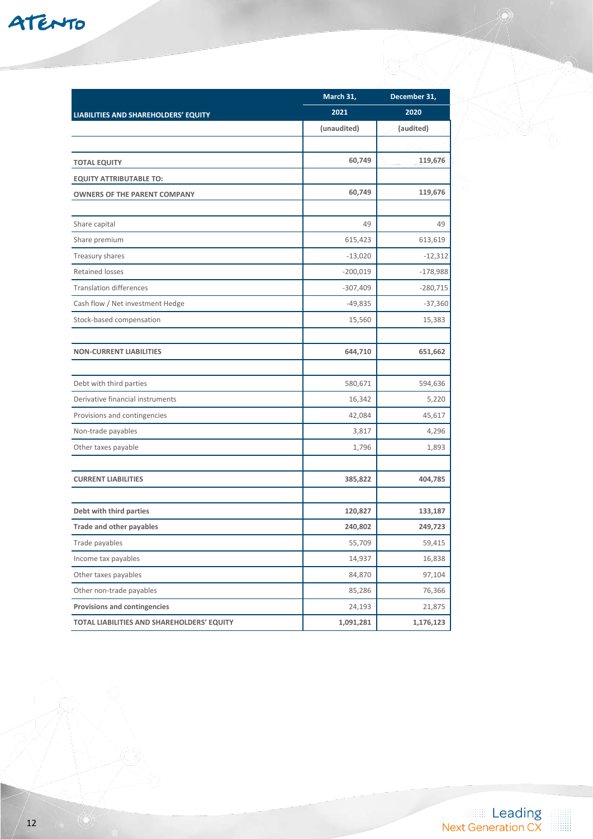

|                                            | March 31,   | December 31, |  |
|--------------------------------------------|-------------|--------------|--|
| LIABILITIES AND SHAREHOLDERS' EQUITY       | 2021        | 2020         |  |
|                                            | (unaudited) | (audited)    |  |
|                                            |             |              |  |
| <b>TOTAL EQUITY</b>                        | 60,749      | 119,676      |  |
| <b>EQUITY ATTRIBUTABLE TO:</b>             |             |              |  |
| <b>OWNERS OF THE PARENT COMPANY</b>        | 60,749      | 119,676      |  |
| Share capital                              | 49          | 49           |  |
| Share premium                              | 615,423     | 613,619      |  |
| Treasury shares                            | $-13,020$   | $-12,312$    |  |
| <b>Retained losses</b>                     | $-200,019$  | $-178,988$   |  |
| <b>Translation differences</b>             | $-307,409$  | $-280,715$   |  |
| Cash flow / Net investment Hedge           | $-49,835$   | $-37,360$    |  |
| Stock-based compensation                   | 15,560      | 15,383       |  |
| <b>NON-CURRENT LIABILITIES</b>             | 644,710     | 651,662      |  |
| Debt with third parties                    | 580,671     | 594,636      |  |
| Derivative financial instruments           | 16,342      | 5,220        |  |
| Provisions and contingencies               | 42,084      | 45,617       |  |
| Non-trade payables                         | 3,817       | 4,296        |  |
| Other taxes payable                        | 1,796       | 1,893        |  |
| <b>CURRENT LIABILITIES</b>                 | 385,822     | 404,785      |  |
|                                            |             |              |  |
| Debt with third parties                    | 120,827     | 133,187      |  |
| Trade and other payables                   | 240,802     | 249,723      |  |
| Trade payables                             | 55,709      | 59,415       |  |
| Income tax payables                        | 14,937      | 16,838       |  |
| Other taxes payables                       | 84,870      | 97,104       |  |
| Other non-trade payables                   | 85,286      | 76,366       |  |
| Provisions and contingencies               | 24,193      | 21,875       |  |
| TOTAL LIABILITIES AND SHAREHOLDERS' EQUITY | 1,091,281   | 1,176,123    |  |



 $\circledR$ 

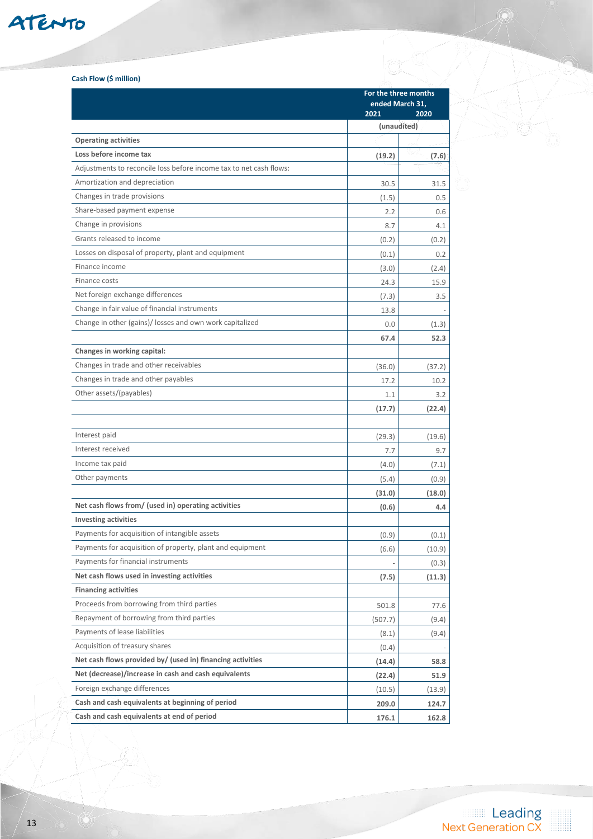## **Cash Flow (\$ million)**

|                                                                    | 2021    | For the three months<br>ended March 31,<br>2020 |
|--------------------------------------------------------------------|---------|-------------------------------------------------|
|                                                                    |         | (unaudited)                                     |
| <b>Operating activities</b>                                        |         |                                                 |
| Loss before income tax                                             | (19.2)  | (7.6)                                           |
| Adjustments to reconcile loss before income tax to net cash flows: |         |                                                 |
| Amortization and depreciation                                      | 30.5    | 31.5                                            |
| Changes in trade provisions                                        | (1.5)   | 0.5                                             |
| Share-based payment expense                                        | 2.2     | 0.6                                             |
| Change in provisions                                               | 8.7     | 4.1                                             |
| Grants released to income                                          | (0.2)   | (0.2)                                           |
| Losses on disposal of property, plant and equipment                | (0.1)   | 0.2                                             |
| Finance income                                                     | (3.0)   | (2.4)                                           |
| Finance costs                                                      | 24.3    | 15.9                                            |
| Net foreign exchange differences                                   | (7.3)   | 3.5                                             |
| Change in fair value of financial instruments                      | 13.8    |                                                 |
| Change in other (gains)/ losses and own work capitalized           | 0.0     | (1.3)                                           |
|                                                                    | 67.4    | 52.3                                            |
| Changes in working capital:                                        |         |                                                 |
| Changes in trade and other receivables                             | (36.0)  | (37.2)                                          |
| Changes in trade and other payables                                | 17.2    | 10.2                                            |
| Other assets/(payables)                                            | 1.1     | 3.2                                             |
|                                                                    | (17.7)  | (22.4)                                          |
|                                                                    |         |                                                 |
| Interest paid                                                      | (29.3)  | (19.6)                                          |
| Interest received                                                  | 7.7     | 9.7                                             |
| Income tax paid                                                    | (4.0)   | (7.1)                                           |
| Other payments                                                     | (5.4)   | (0.9)                                           |
|                                                                    | (31.0)  | (18.0)                                          |
| Net cash flows from/ (used in) operating activities                | (0.6)   | 4.4                                             |
| <b>Investing activities</b>                                        |         |                                                 |
| Payments for acquisition of intangible assets                      | (0.9)   | (0.1)                                           |
| Payments for acquisition of property, plant and equipment          | (6.6)   | (10.9)                                          |
| Payments for financial instruments                                 |         | (0.3)                                           |
| Net cash flows used in investing activities                        | (7.5)   | (11.3)                                          |
| <b>Financing activities</b>                                        |         |                                                 |
| Proceeds from borrowing from third parties                         | 501.8   | 77.6                                            |
| Repayment of borrowing from third parties                          | (507.7) | (9.4)                                           |
| Payments of lease liabilities                                      | (8.1)   | (9.4)                                           |
| Acquisition of treasury shares                                     | (0.4)   |                                                 |
| Net cash flows provided by/ (used in) financing activities         | (14.4)  | 58.8                                            |
| Net (decrease)/increase in cash and cash equivalents               | (22.4)  | 51.9                                            |
| Foreign exchange differences                                       | (10.5)  | (13.9)                                          |
| Cash and cash equivalents at beginning of period                   | 209.0   | 124.7                                           |
| Cash and cash equivalents at end of period                         | 176.1   | 162.8                                           |

 $\circledR$ 

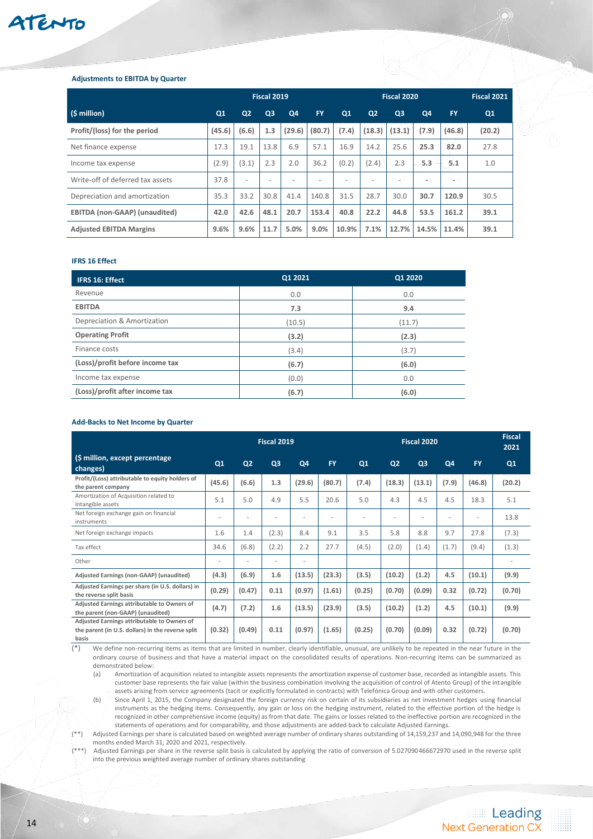#### **Adjustments to EBITDA by Quarter**

|                                  | <b>Fiscal 2019</b> |                          |                |        |           |                | <b>Fiscal 2020</b> |                |       |           |        |
|----------------------------------|--------------------|--------------------------|----------------|--------|-----------|----------------|--------------------|----------------|-------|-----------|--------|
| (\$ million)                     | Q <sub>1</sub>     | Q <sub>2</sub>           | Q <sub>3</sub> | Q4     | <b>FY</b> | Q <sub>1</sub> | Q <sub>2</sub>     | Q <sub>3</sub> | Q4    | <b>FY</b> | Q1     |
| Profit/(loss) for the period     | (45.6)             | (6.6)                    | 1.3            | (29.6) | (80.7)    | (7.4)          | (18.3)             | (13.1)         | (7.9) | (46.8)    | (20.2) |
| Net finance expense              | 17.3               | 19.1                     | 13.8           | 6.9    | 57.1      | 16.9           | 14.2               | 25.6           | 25.3  | 82.0      | 27.8   |
| Income tax expense               | (2.9)              | (3.1)                    | 2.3            | 2.0    | 36.2      | (0.2)          | (2.4)              | 2.3            | 5.3   | 5.1       | 1.0    |
| Write-off of deferred tax assets | 37.8               | $\overline{\phantom{a}}$ | $\equiv$       |        |           |                |                    |                |       |           |        |
| Depreciation and amortization    | 35.3               | 33.2                     | 30.8           | 41.4   | 140.8     | 31.5           | 28.7               | 30.0           | 30.7  | 120.9     | 30.5   |
| EBITDA (non-GAAP) (unaudited)    | 42.0               | 42.6                     | 48.1           | 20.7   | 153.4     | 40.8           | 22.2               | 44.8           | 53.5  | 161.2     | 39.1   |
| <b>Adjusted EBITDA Margins</b>   | 9.6%               | 9.6%                     | 11.7           | 5.0%   | 9.0%      | 10.9%          | 7.1%               | 12.7%          | 14.5% | 11.4%     | 39.1   |

#### **IFRS 16 Effect**

| <b>IFRS 16: Effect</b>          | Q1 2021 | Q1 2020 |
|---------------------------------|---------|---------|
| Revenue                         | 0.0     | 0.0     |
| <b>EBITDA</b>                   | 7.3     | 9.4     |
| Depreciation & Amortization     | (10.5)  | (11.7)  |
| <b>Operating Profit</b>         | (3.2)   | (2.3)   |
| Finance costs                   | (3.4)   | (3.7)   |
| (Loss)/profit before income tax | (6.7)   | (6.0)   |
| Income tax expense              | (0.0)   | 0.0     |
| (Loss)/profit after income tax  | (6.7)   | (6.0)   |

#### **Add-Backs to Net Income by Quarter**

|                                                                                                           |        |                          | <b>Fiscal 2019</b>       |                          |                          | <b>Fiscal 2020</b> |                |                |                |           | <b>Fiscal</b><br>2021    |
|-----------------------------------------------------------------------------------------------------------|--------|--------------------------|--------------------------|--------------------------|--------------------------|--------------------|----------------|----------------|----------------|-----------|--------------------------|
| (\$ million, except percentage<br>changes)                                                                | Q1     | Q <sub>2</sub>           | Q <sub>3</sub>           | Q4                       | <b>FY</b>                | Q1                 | Q <sub>2</sub> | Q <sub>3</sub> | Q <sub>4</sub> | <b>FY</b> | Q1                       |
| Profit/(Loss) attributable to equity holders of<br>the parent company                                     | (45.6) | (6.6)                    | 1.3                      | (29.6)                   | (80.7)                   | (7.4)              | (18.3)         | (13.1)         | (7.9)          | (46.8)    | (20.2)                   |
| Amortization of Acquisition related to<br>Intangible assets                                               | 5.1    | 5.0                      | 4.9                      | 5.5                      | 20.6                     | 5.0                | 4.3            | 4.5            | 4.5            | 18.3      | 5.1                      |
| Net foreign exchange gain on financial<br>instruments                                                     | ٠      |                          |                          |                          | $\overline{\phantom{a}}$ |                    | ٠              |                |                | ٠         | 13.8                     |
| Net foreign exchange impacts                                                                              | 1.6    | 1.4                      | (2.3)                    | 8.4                      | 9.1                      | 3.5                | 5.8            | 8.8            | 9.7            | 27.8      | (7.3)                    |
| Tax effect                                                                                                | 34.6   | (6.8)                    | (2.2)                    | 2.2                      | 27.7                     | (4.5)              | (2.0)          | (1.4)          | (1.7)          | (9.4)     | (1.3)                    |
| Other                                                                                                     | ٠      | $\overline{\phantom{a}}$ | $\overline{\phantom{a}}$ | $\overline{\phantom{a}}$ |                          |                    |                |                |                |           | $\overline{\phantom{a}}$ |
| Adjusted Earnings (non-GAAP) (unaudited)                                                                  | (4.3)  | (6.9)                    | 1.6                      | (13.5)                   | (23.3)                   | (3.5)              | (10.2)         | (1.2)          | 4.5            | (10.1)    | (9.9)                    |
| Adjusted Earnings per share (in U.S. dollars) in<br>the reverse split basis                               | (0.29) | (0.47)                   | 0.11                     | (0.97)                   | (1.61)                   | (0.25)             | (0.70)         | (0.09)         | 0.32           | (0.72)    | (0.70)                   |
| Adjusted Earnings attributable to Owners of<br>the parent (non-GAAP) (unaudited)                          | (4.7)  | (7.2)                    | 1.6                      | (13.5)                   | (23.9)                   | (3.5)              | (10.2)         | (1.2)          | 4.5            | (10.1)    | (9.9)                    |
| Adjusted Earnings attributable to Owners of<br>the parent (in U.S. dollars) in the reverse split<br>basis | (0.32) | (0.49)                   | 0.11                     | (0.97)                   | (1.65)                   | (0.25)             | (0.70)         | (0.09)         | 0.32           | (0.72)    | (0.70)                   |

 $(*)$  We define non-recurring items as items that are limited in number, clearly identifiable, unusual, are unlikely to be repeated in the near future in the ordinary course of business and that have a material impact on the consolidated results of operations. Non-recurring items can be summarized as demonstrated below:

(a) Amortization of acquisition related to intangible assets represents the amortization expense of customer base, recorded as intangible assets. This customer base represents the fair value (within the business combination involving the acquisition of control of Atento Group) of the intangible assets arising from service agreements (tacit or explicitly formulated in contracts) with Telefónica Group and with other customers.

(b) Since April 1, 2015, the Company designated the foreign currency risk on certain of its subsidiaries as net investment hedges using financial instruments as the hedging items. Consequently, any gain or loss on the hedging instrument, related to the effective portion of the hedge is recognized in other comprehensive income (equity) as from that date. The gains or losses related to the ineffective portion are recognized in the statements of operations and for comparability, and those adjustments are added back to calculate Adjusted Earnings.

(\*\*) Adjusted Earnings per share is calculated based on weighted average number of ordinary shares outstanding of 14,159,237 and 14,090,948 for the three months ended March 31, 2020 and 2021, respectively.

(\*\*\*) Adjusted Earnings per share in the reverse split basis is calculated by applying the ratio of conversion of 5.027090466672970 used in the reverse split into the previous weighted average number of ordinary shares outstanding

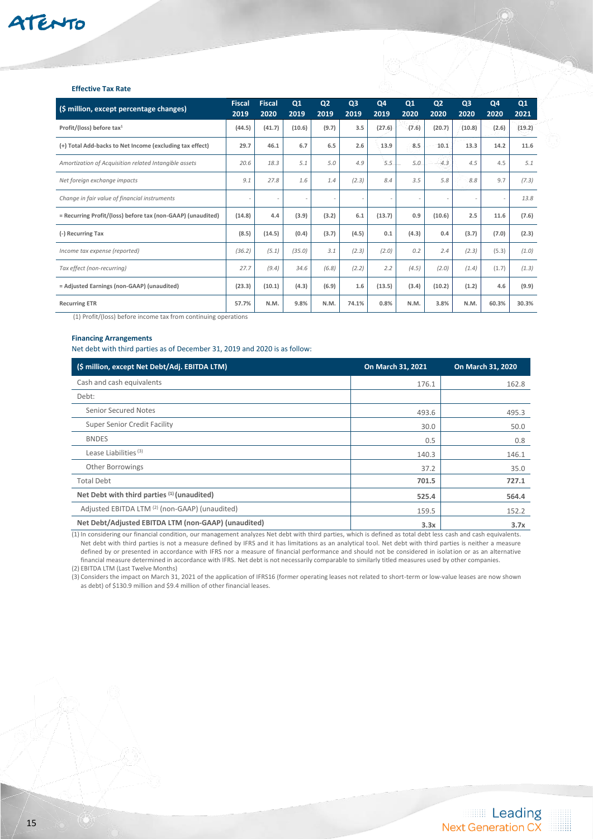#### **Effective Tax Rate**

| <b>Fiscal</b><br>(\$ million, except percentage changes)    |        | <b>Fiscal</b><br>2020    | Q1<br>2019 | Q <sub>2</sub><br>2019 | Q <sub>3</sub><br>2019 | Q4<br>2019 | Q1<br>2020 | Q <sub>2</sub><br>2020 | Q <sub>3</sub><br>2020 | Q4<br>2020 | Q1<br>2021 |
|-------------------------------------------------------------|--------|--------------------------|------------|------------------------|------------------------|------------|------------|------------------------|------------------------|------------|------------|
| Profit/(loss) before tax <sup>1</sup>                       | (44.5) | (41.7)                   | (10.6)     | (9.7)                  | 3.5                    | (27.6)     | (7.6)      | (20.7)                 | (10.8)                 | (2.6)      | (19.2)     |
| (+) Total Add-backs to Net Income (excluding tax effect)    | 29.7   | 46.1                     | 6.7        | 6.5                    | 2.6                    | 13.9       | 8.5        | 10.1                   | 13.3                   | 14.2       | 11.6       |
| Amortization of Acquisition related Intangible assets       | 20.6   | 18.3                     | 5.1        | 5.0                    | 4.9                    | 5.5        | 5.0        | 4.3                    | 4.5                    | 4.5        | 5.1        |
| Net foreign exchange impacts                                | 9.1    | 27.8                     | 1.6        | 1.4                    | (2.3)                  | 8.4        | 3.5        | 5.8                    | 8.8                    | 9.7        | (7.3)      |
| Change in fair value of financial instruments               |        | $\overline{\phantom{a}}$ |            |                        |                        |            |            |                        |                        |            | 13.8       |
| = Recurring Profit/(loss) before tax (non-GAAP) (unaudited) | (14.8) | 4.4                      | (3.9)      | (3.2)                  | 6.1                    | (13.7)     | 0.9        | (10.6)                 | 2.5                    | 11.6       | (7.6)      |
| (-) Recurring Tax                                           | (8.5)  | (14.5)                   | (0.4)      | (3.7)                  | (4.5)                  | 0.1        | (4.3)      | 0.4                    | (3.7)                  | (7.0)      | (2.3)      |
| Income tax expense (reported)                               | (36.2) | (5.1)                    | (35.0)     | 3.1                    | (2.3)                  | (2.0)      | 0.2        | 2.4                    | (2.3)                  | (5.3)      | (1.0)      |
| Tax effect (non-recurring)                                  | 27.7   | (9.4)                    | 34.6       | (6.8)                  | (2.2)                  | 2.2        | (4.5)      | (2.0)                  | (1.4)                  | (1.7)      | (1.3)      |
| = Adjusted Earnings (non-GAAP) (unaudited)                  | (23.3) | (10.1)                   | (4.3)      | (6.9)                  | 1.6                    | (13.5)     | (3.4)      | (10.2)                 | (1.2)                  | 4.6        | (9.9)      |
| <b>Recurring ETR</b>                                        | 57.7%  | N.M.                     | 9.8%       | N.M.                   | 74.1%                  | 0.8%       | N.M.       | 3.8%                   | N.M.                   | 60.3%      | 30.3%      |

(1) Profit/(loss) before income tax from continuing operations

#### **Financing Arrangements**

Net debt with third parties as of December 31, 2019 and 2020 is as follow:

| (\$ million, except Net Debt/Adj. EBITDA LTM)             | On March 31, 2021 | On March 31, 2020 |
|-----------------------------------------------------------|-------------------|-------------------|
| Cash and cash equivalents                                 | 176.1             | 162.8             |
| Debt:                                                     |                   |                   |
| <b>Senior Secured Notes</b>                               | 493.6             | 495.3             |
| <b>Super Senior Credit Facility</b>                       | 30.0              | 50.0              |
| <b>BNDES</b>                                              | 0.5               | 0.8               |
| Lease Liabilities <sup>(3)</sup>                          | 140.3             | 146.1             |
| <b>Other Borrowings</b>                                   | 37.2              | 35.0              |
| <b>Total Debt</b>                                         | 701.5             | 727.1             |
| Net Debt with third parties (1) (unaudited)               | 525.4             | 564.4             |
| Adjusted EBITDA LTM <sup>(2)</sup> (non-GAAP) (unaudited) | 159.5             | 152.2             |
| Net Debt/Adjusted EBITDA LTM (non-GAAP) (unaudited)       | 3.3x              | 3.7x              |

(1) In considering our financial condition, our management analyzes Net debt with third parties, which is defined as total debt less cash and cash equivalents. Net debt with third parties is not a measure defined by IFRS and it has limitations as an analytical tool. Net debt with third parties is neither a measure defined by or presented in accordance with IFRS nor a measure of financial performance and should not be considered in isolation or as an alternative financial measure determined in accordance with IFRS. Net debt is not necessarily comparable to similarly titled measures used by other companies. (2) EBITDA LTM (Last Twelve Months)

(3) Considers the impact on March 31, 2021 of the application of IFRS16 (former operating leases not related to short-term or low-value leases are now shown as debt) of \$130.9 million and \$9.4 million of other financial leases.